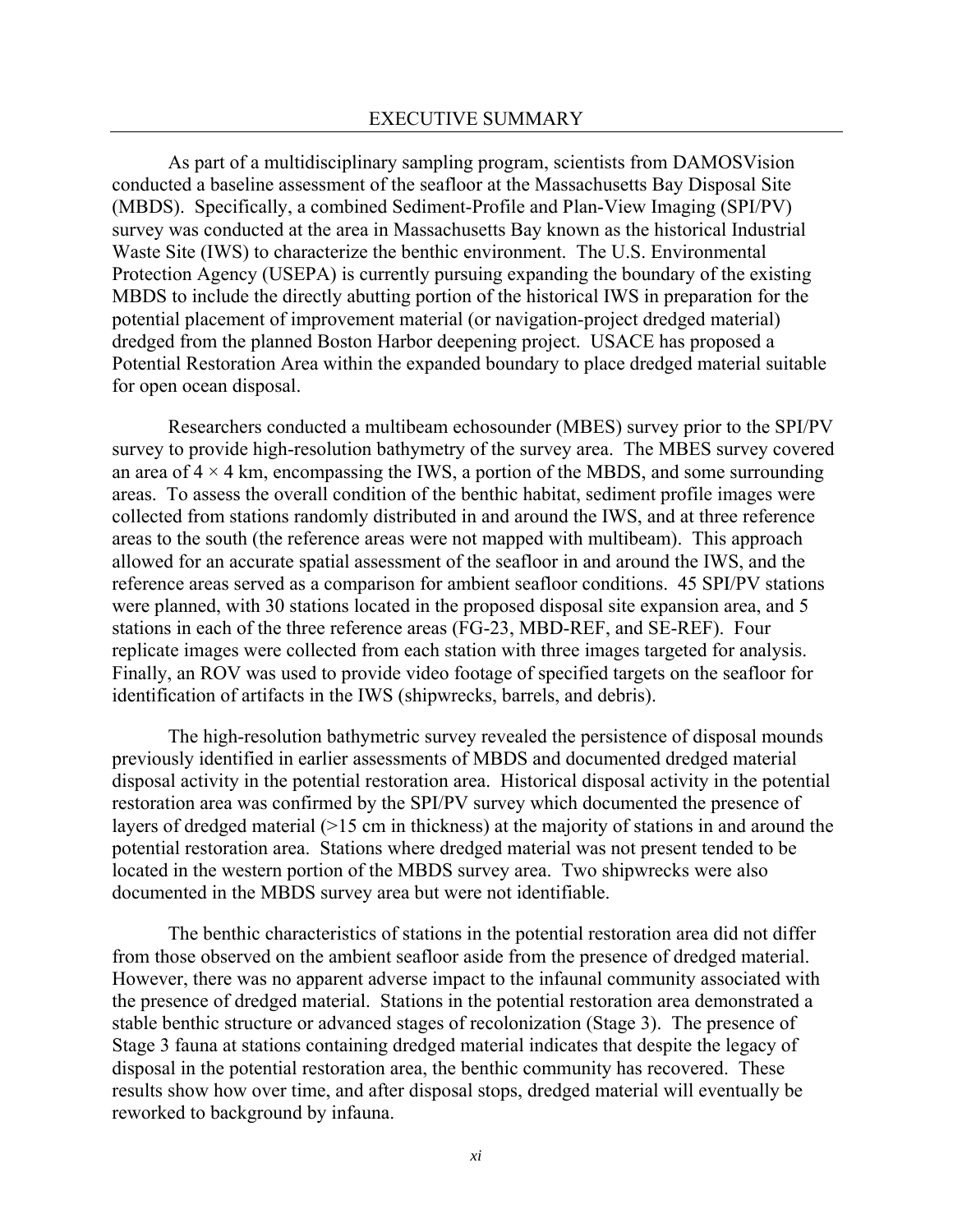As part of a multidisciplinary sampling program, scientists from DAMOSVision conducted a baseline assessment of the seafloor at the Massachusetts Bay Disposal Site (MBDS). Specifically, a combined Sediment-Profile and Plan-View Imaging (SPI/PV) survey was conducted at the area in Massachusetts Bay known as the historical Industrial Waste Site (IWS) to characterize the benthic environment. The U.S. Environmental Protection Agency (USEPA) is currently pursuing expanding the boundary of the existing MBDS to include the directly abutting portion of the historical IWS in preparation for the potential placement of improvement material (or navigation-project dredged material) dredged from the planned Boston Harbor deepening project. USACE has proposed a Potential Restoration Area within the expanded boundary to place dredged material suitable for open ocean disposal.

Researchers conducted a multibeam echosounder (MBES) survey prior to the SPI/PV survey to provide high-resolution bathymetry of the survey area. The MBES survey covered an area of  $4 \times 4$  km, encompassing the IWS, a portion of the MBDS, and some surrounding areas. To assess the overall condition of the benthic habitat, sediment profile images were collected from stations randomly distributed in and around the IWS, and at three reference areas to the south (the reference areas were not mapped with multibeam). This approach allowed for an accurate spatial assessment of the seafloor in and around the IWS, and the reference areas served as a comparison for ambient seafloor conditions. 45 SPI/PV stations were planned, with 30 stations located in the proposed disposal site expansion area, and 5 stations in each of the three reference areas (FG-23, MBD-REF, and SE-REF). Four replicate images were collected from each station with three images targeted for analysis. Finally, an ROV was used to provide video footage of specified targets on the seafloor for identification of artifacts in the IWS (shipwrecks, barrels, and debris).

The high-resolution bathymetric survey revealed the persistence of disposal mounds previously identified in earlier assessments of MBDS and documented dredged material disposal activity in the potential restoration area. Historical disposal activity in the potential restoration area was confirmed by the SPI/PV survey which documented the presence of layers of dredged material (>15 cm in thickness) at the majority of stations in and around the potential restoration area. Stations where dredged material was not present tended to be located in the western portion of the MBDS survey area. Two shipwrecks were also documented in the MBDS survey area but were not identifiable.

The benthic characteristics of stations in the potential restoration area did not differ from those observed on the ambient seafloor aside from the presence of dredged material. However, there was no apparent adverse impact to the infaunal community associated with the presence of dredged material. Stations in the potential restoration area demonstrated a stable benthic structure or advanced stages of recolonization (Stage 3). The presence of Stage 3 fauna at stations containing dredged material indicates that despite the legacy of disposal in the potential restoration area, the benthic community has recovered. These results show how over time, and after disposal stops, dredged material will eventually be reworked to background by infauna.